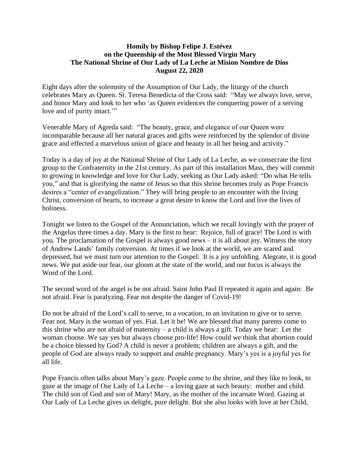## **Homily by Bishop Felipe J. Estévez on the Queenship of the Most Blessed Virgin Mary The National Shrine of Our Lady of La Leche at Mision Nombre de Dios August 22, 2020**

Eight days after the solemnity of the Assumption of Our Lady, the liturgy of the church celebrates Mary as Queen. St. Teresa Benedicta of the Cross said: "May we always love, serve, and honor Mary and look to her who 'as Queen evidences the conquering power of a serving love and of purity intact."

Venerable Mary of Agreda said: "The beauty, grace, and elegance of our Queen were incomparable because all her natural graces and gifts were reinforced by the splendor of divine grace and effected a marvelous union of grace and beauty in all her being and activity."

Today is a day of joy at the National Shrine of Our Lady of La Leche, as we consecrate the first group to the Confraternity in the 21st century. As part of this installation Mass, they will commit to growing in knowledge and love for Our Lady, seeking as Our Lady asked: "Do what He tells you," and that is glorifying the name of Jesus so that this shrine becomes truly as Pope Francis desires a "center of evangelization." They will bring people to an encounter with the living Christ, conversion of hearts, to increase a great desire to know the Lord and live the lives of holiness.

Tonight we listen to the Gospel of the Annunciation, which we recall lovingly with the prayer of the Angelus three times a day. Mary is the first to hear: Rejoice, full of grace! The Lord is with you. The proclamation of the Gospel is always good news – it is all about joy. Witness the story of Andrew Lands' family conversion. At times if we look at the world, we are scared and depressed, but we must turn our attention to the Gospel: It is a joy unfolding. Alegrate, it is good news. We put aside our fear, our gloom at the state of the world, and our focus is always the Word of the Lord.

The second word of the angel is be not afraid. Saint John Paul II repeated it again and again: Be not afraid. Fear is paralyzing. Fear not despite the danger of Covid-19!

Do not be afraid of the Lord's call to serve, to a vocation, to an invitation to give or to serve. Fear not. Mary is the woman of yes. Fiat. Let it be! We are blessed that many parents come to this shrine who are not afraid of maternity – a child is always a gift. Today we hear: Let the woman choose. We say yes but always choose pro-life! How could we think that abortion could be a choice blessed by God? A child is never a problem; children are always a gift, and the people of God are always ready to support and enable pregnancy. Mary's yes is a joyful yes for all life.

Pope Francis often talks about Mary's gaze. People come to the shrine, and they like to look, to gaze at the image of Our Lady of La Leche – a loving gaze at such beauty: mother and child. The child son of God and son of Mary! Mary, as the mother of the incarnate Word. Gazing at Our Lady of La Leche gives us delight, pure delight. But she also looks with love at her Child,